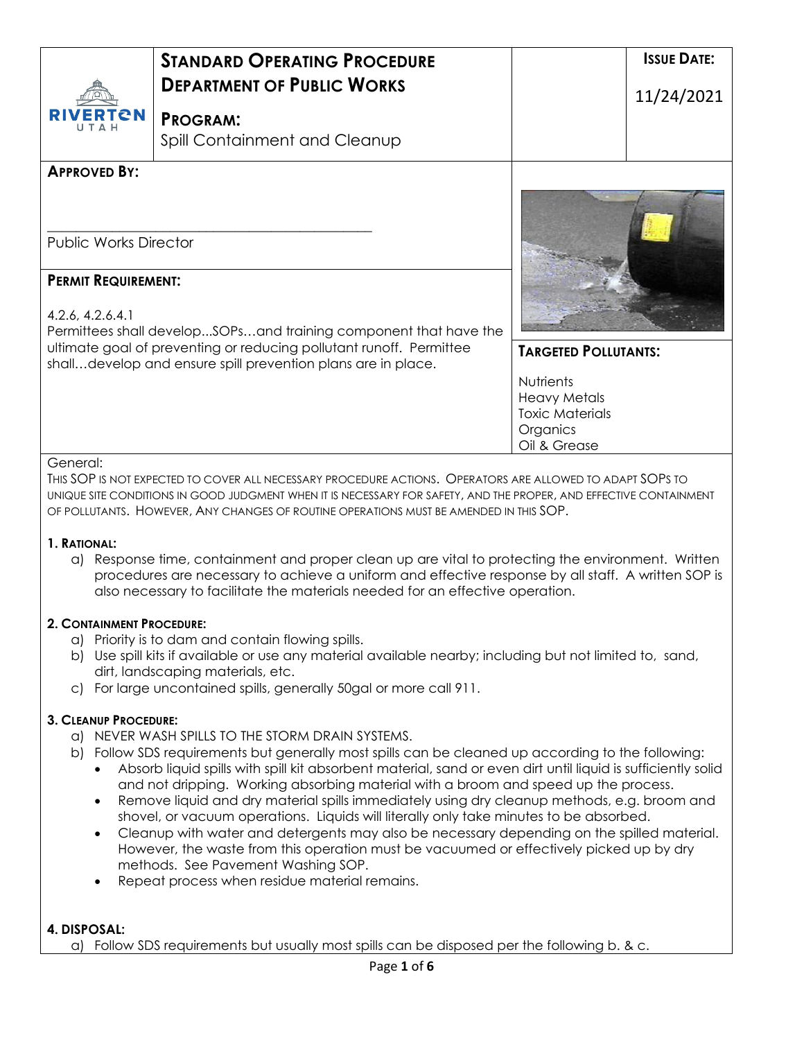|                                                                                                                                                                                                                             | <b>STANDARD OPERATING PROCEDURE</b><br><b>DEPARTMENT OF PUBLIC WORKS</b>                                                                                                                                                                                                                                                  |                             | <b>ISSUE DATE:</b> |
|-----------------------------------------------------------------------------------------------------------------------------------------------------------------------------------------------------------------------------|---------------------------------------------------------------------------------------------------------------------------------------------------------------------------------------------------------------------------------------------------------------------------------------------------------------------------|-----------------------------|--------------------|
| 'ERTCN                                                                                                                                                                                                                      | <b>PROGRAM:</b><br>Spill Containment and Cleanup                                                                                                                                                                                                                                                                          |                             | 11/24/2021         |
| <b>APPROVED BY:</b>                                                                                                                                                                                                         |                                                                                                                                                                                                                                                                                                                           |                             |                    |
|                                                                                                                                                                                                                             |                                                                                                                                                                                                                                                                                                                           |                             |                    |
| <b>Public Works Director</b>                                                                                                                                                                                                |                                                                                                                                                                                                                                                                                                                           |                             |                    |
| <b>PERMIT REQUIREMENT:</b>                                                                                                                                                                                                  |                                                                                                                                                                                                                                                                                                                           |                             |                    |
| 4.2.6, 4.2.6.4.1<br>Permittees shall developSOPsand training component that have the<br>ultimate goal of preventing or reducing pollutant runoff. Permittee<br>shalldevelop and ensure spill prevention plans are in place. |                                                                                                                                                                                                                                                                                                                           |                             |                    |
|                                                                                                                                                                                                                             |                                                                                                                                                                                                                                                                                                                           | <b>TARGETED POLLUTANTS:</b> |                    |
|                                                                                                                                                                                                                             |                                                                                                                                                                                                                                                                                                                           | <b>Nutrients</b>            |                    |
|                                                                                                                                                                                                                             |                                                                                                                                                                                                                                                                                                                           | <b>Heavy Metals</b>         |                    |
|                                                                                                                                                                                                                             |                                                                                                                                                                                                                                                                                                                           | <b>Toxic Materials</b>      |                    |
|                                                                                                                                                                                                                             |                                                                                                                                                                                                                                                                                                                           | Organics                    |                    |
|                                                                                                                                                                                                                             |                                                                                                                                                                                                                                                                                                                           | Oil & Grease                |                    |
| General:                                                                                                                                                                                                                    | THIS SOP IS NOT EXPECTED TO COVER ALL NECESSARY PROCEDURE ACTIONS. OPERATORS ARE ALLOWED TO ADAPT SOPS TO<br>UNIQUE SITE CONDITIONS IN GOOD JUDGMENT WHEN IT IS NECESSARY FOR SAFETY, AND THE PROPER, AND EFFECTIVE CONTAINMENT<br>OF POLLUTANTS. HOWEVER, ANY CHANGES OF ROUTINE OPERATIONS MUST BE AMENDED IN THIS SOP. |                             |                    |

#### **1. RATIONAL:**

a) Response time, containment and proper clean up are vital to protecting the environment. Written procedures are necessary to achieve a uniform and effective response by all staff. A written SOP is also necessary to facilitate the materials needed for an effective operation.

#### **2. CONTAINMENT PROCEDURE:**

- a) Priority is to dam and contain flowing spills.
- b) Use spill kits if available or use any material available nearby; including but not limited to, sand, dirt, landscaping materials, etc.
- c) For large uncontained spills, generally 50gal or more call 911.

#### **3. CLEANUP PROCEDURE:**

- a) NEVER WASH SPILLS TO THE STORM DRAIN SYSTEMS.
- b) Follow SDS requirements but generally most spills can be cleaned up according to the following:
	- Absorb liquid spills with spill kit absorbent material, sand or even dirt until liquid is sufficiently solid and not dripping. Working absorbing material with a broom and speed up the process.
	- Remove liquid and dry material spills immediately using dry cleanup methods, e.g. broom and shovel, or vacuum operations. Liquids will literally only take minutes to be absorbed.
	- Cleanup with water and detergents may also be necessary depending on the spilled material. However, the waste from this operation must be vacuumed or effectively picked up by dry methods. See Pavement Washing SOP.
	- Repeat process when residue material remains.

#### **4. DISPOSAL:**

a) Follow SDS requirements but usually most spills can be disposed per the following b. & c.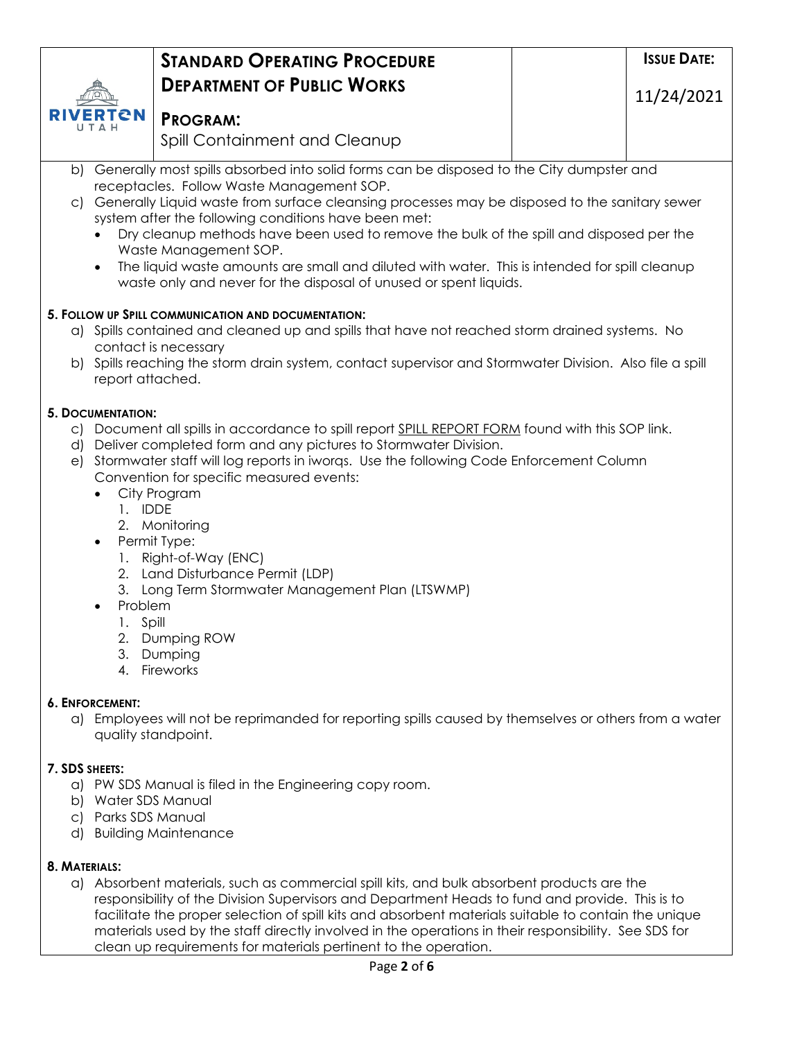#### RTCN **PROGRAM:**

Spill Containment and Cleanup

- b) Generally most spills absorbed into solid forms can be disposed to the City dumpster and receptacles. Follow Waste Management SOP.
- c) Generally Liquid waste from surface cleansing processes may be disposed to the sanitary sewer system after the following conditions have been met:
	- Dry cleanup methods have been used to remove the bulk of the spill and disposed per the Waste Management SOP.
	- The liquid waste amounts are small and diluted with water. This is intended for spill cleanup waste only and never for the disposal of unused or spent liquids.

# **5. FOLLOW UP SPILL COMMUNICATION AND DOCUMENTATION:**

- a) Spills contained and cleaned up and spills that have not reached storm drained systems. No contact is necessary
- b) Spills reaching the storm drain system, contact supervisor and Stormwater Division. Also file a spill report attached.

## **5. DOCUMENTATION:**

- c) Document all spills in accordance to spill report SPILL REPORT FORM found with this SOP link.
- d) Deliver completed form and any pictures to Stormwater Division.
- e) Stormwater staff will log reports in iworqs. Use the following Code Enforcement Column Convention for specific measured events:
	- City Program
		- 1. IDDE
			- 2. Monitoring
	- Permit Type:
		- 1. Right-of-Way (ENC)
		- 2. Land Disturbance Permit (LDP)
		- 3. Long Term Stormwater Management Plan (LTSWMP)
		- Problem
		- 1. Spill
			- 2. Dumping ROW
			- 3. Dumping
			- 4. Fireworks

# **6. ENFORCEMENT:**

a) Employees will not be reprimanded for reporting spills caused by themselves or others from a water quality standpoint.

# **7. SDS SHEETS:**

- a) PW SDS Manual is filed in the Engineering copy room.
- b) Water SDS Manual
- c) Parks SDS Manual
- d) Building Maintenance

### **8. MATERIALS:**

a) Absorbent materials, such as commercial spill kits, and bulk absorbent products are the responsibility of the Division Supervisors and Department Heads to fund and provide. This is to facilitate the proper selection of spill kits and absorbent materials suitable to contain the unique materials used by the staff directly involved in the operations in their responsibility. See SDS for clean up requirements for materials pertinent to the operation.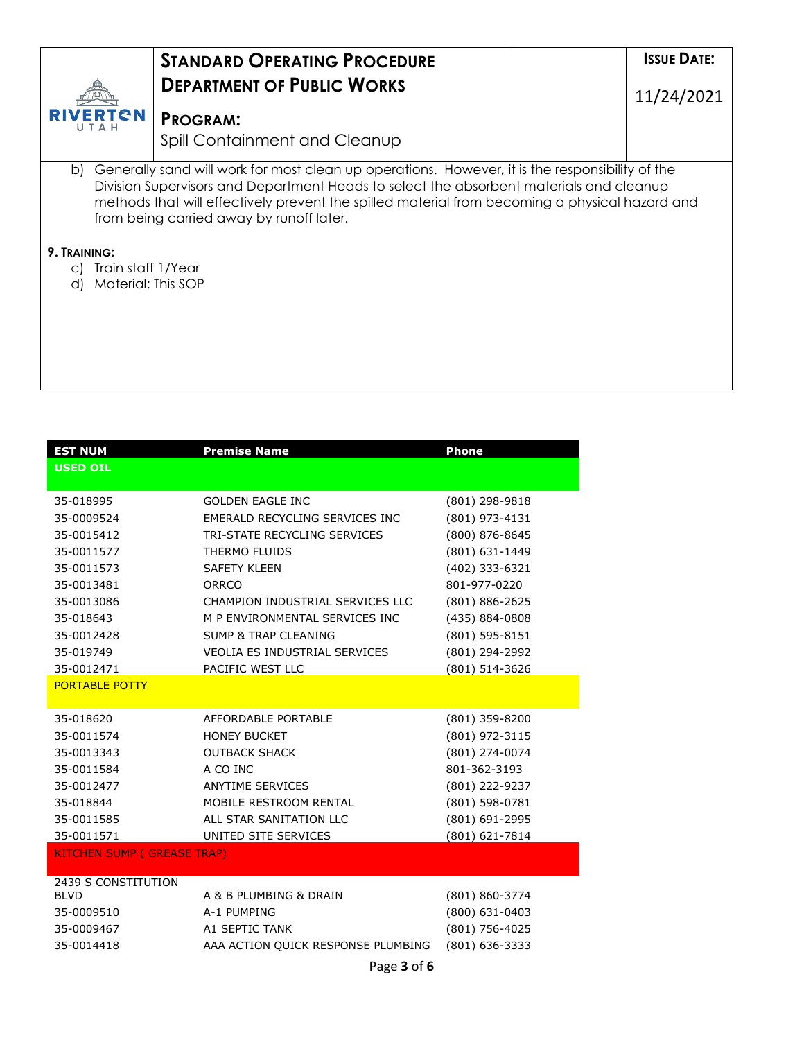|                                | <b><i>STANDARD OPERATING PROCEDURE</i></b><br><b>DEPARTMENT OF PUBLIC WORKS</b>                                                                                                                                                                                                                                                             | <b>ISSUE DATE:</b><br>11/24/2021 |
|--------------------------------|---------------------------------------------------------------------------------------------------------------------------------------------------------------------------------------------------------------------------------------------------------------------------------------------------------------------------------------------|----------------------------------|
| FRTAN<br>IJ T ∆ H              | <b>PROGRAM:</b><br>Spill Containment and Cleanup                                                                                                                                                                                                                                                                                            |                                  |
|                                | b) Generally sand will work for most clean up operations. However, it is the responsibility of the<br>Division Supervisors and Department Heads to select the absorbent materials and cleanup<br>methods that will effectively prevent the spilled material from becoming a physical hazard and<br>from being carried away by runoff later. |                                  |
| 9. TRAINING:                   |                                                                                                                                                                                                                                                                                                                                             |                                  |
| Train staff 1/Year<br>C)<br>d) | Material: This SOP                                                                                                                                                                                                                                                                                                                          |                                  |
|                                |                                                                                                                                                                                                                                                                                                                                             |                                  |

| <b>EST NUM</b><br><b>USED OIL</b>  | <b>Premise Name</b>                  | <b>Phone</b>   |
|------------------------------------|--------------------------------------|----------------|
|                                    |                                      |                |
| 35-018995                          | <b>GOLDEN EAGLE INC</b>              | (801) 298-9818 |
| 35-0009524                         | EMERALD RECYCLING SERVICES INC       | (801) 973-4131 |
| 35-0015412                         | TRI-STATE RECYCLING SERVICES         | (800) 876-8645 |
| 35-0011577                         | THERMO FLUIDS                        | (801) 631-1449 |
| 35-0011573                         | <b>SAFETY KLEEN</b>                  | (402) 333-6321 |
| 35-0013481                         | ORRCO                                | 801-977-0220   |
| 35-0013086                         | CHAMPION INDUSTRIAL SERVICES LLC     | (801) 886-2625 |
| 35-018643                          | M P ENVIRONMENTAL SERVICES INC       | (435) 884-0808 |
| 35-0012428                         | <b>SUMP &amp; TRAP CLEANING</b>      | (801) 595-8151 |
| 35-019749                          | <b>VEOLIA ES INDUSTRIAL SERVICES</b> | (801) 294-2992 |
| 35-0012471                         | PACIFIC WEST LLC                     | (801) 514-3626 |
| <b>PORTABLE POTTY</b>              |                                      |                |
|                                    |                                      |                |
| 35-018620                          | AFFORDABLE PORTABLE                  | (801) 359-8200 |
| 35-0011574                         | <b>HONEY BUCKET</b>                  | (801) 972-3115 |
| 35-0013343                         | <b>OUTBACK SHACK</b>                 | (801) 274-0074 |
| 35-0011584                         | A CO INC                             | 801-362-3193   |
| 35-0012477                         | <b>ANYTIME SERVICES</b>              | (801) 222-9237 |
| 35-018844                          | MOBILE RESTROOM RENTAL               | (801) 598-0781 |
| 35-0011585                         | ALL STAR SANITATION LLC              | (801) 691-2995 |
| 35-0011571                         | UNITED SITE SERVICES                 | (801) 621-7814 |
| <b>KITCHEN SUMP (GREASE TRAP)</b>  |                                      |                |
|                                    |                                      |                |
| 2439 S CONSTITUTION<br><b>BLVD</b> | A & B PLUMBING & DRAIN               | (801) 860-3774 |
| 35-0009510                         | A-1 PUMPING                          | (800) 631-0403 |
| 35-0009467                         | A1 SEPTIC TANK                       | (801) 756-4025 |
| 35-0014418                         | AAA ACTION QUICK RESPONSE PLUMBING   | (801) 636-3333 |
|                                    |                                      |                |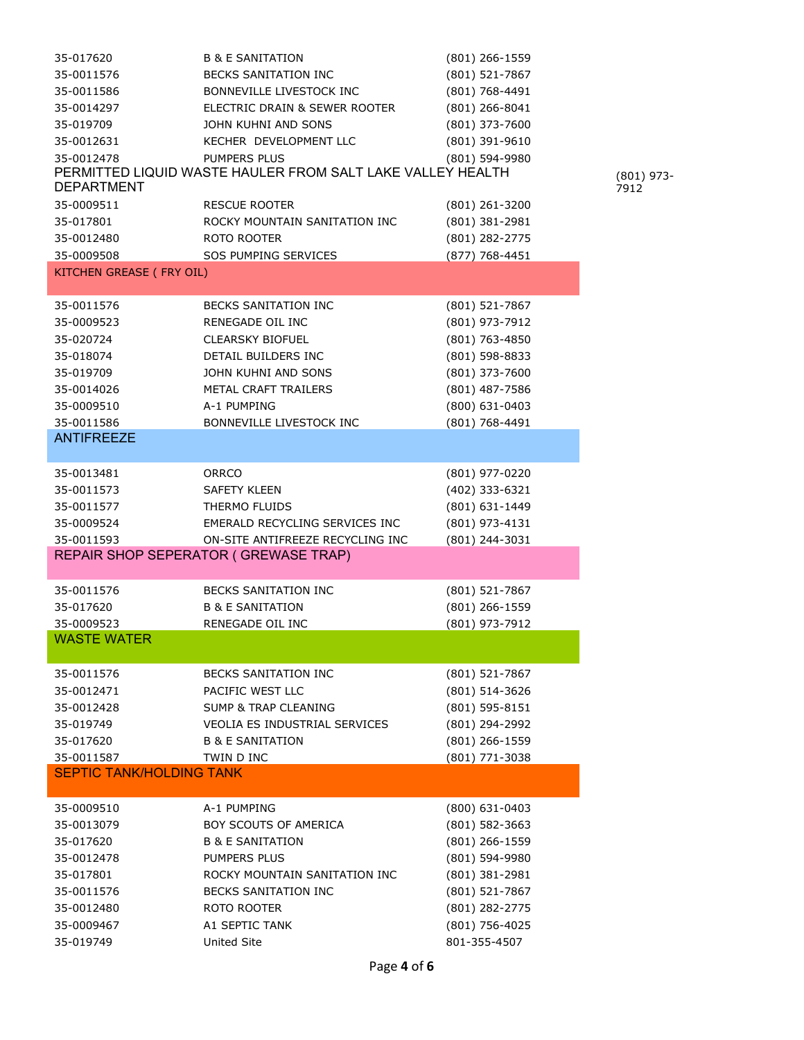35-019749 United Site 801-355-4507

| 35-017620                       | <b>B &amp; E SANITATION</b>                                | (801) 266-1559     |
|---------------------------------|------------------------------------------------------------|--------------------|
| 35-0011576                      | BECKS SANITATION INC                                       | (801) 521-7867     |
| 35-0011586                      | BONNEVILLE LIVESTOCK INC                                   | (801) 768-4491     |
| 35-0014297                      | ELECTRIC DRAIN & SEWER ROOTER                              | $(801)$ 266-8041   |
| 35-019709                       | JOHN KUHNI AND SONS                                        | (801) 373-7600     |
| 35-0012631                      | KECHER DEVELOPMENT LLC                                     | (801) 391-9610     |
| 35-0012478                      | PUMPERS PLUS                                               | (801) 594-9980     |
| <b>DEPARTMENT</b>               | PERMITTED LIQUID WASTE HAULER FROM SALT LAKE VALLEY HEALTH |                    |
| 35-0009511                      | <b>RESCUE ROOTER</b>                                       | (801) 261-3200     |
| 35-017801                       | ROCKY MOUNTAIN SANITATION INC                              | (801) 381-2981     |
| 35-0012480                      | ROTO ROOTER                                                | (801) 282-2775     |
| 35-0009508                      | SOS PUMPING SERVICES                                       | (877) 768-4451     |
| KITCHEN GREASE (FRY OIL)        |                                                            |                    |
|                                 |                                                            |                    |
| 35-0011576                      | BECKS SANITATION INC                                       | (801) 521-7867     |
| 35-0009523                      | RENEGADE OIL INC                                           | (801) 973-7912     |
| 35-020724                       | <b>CLEARSKY BIOFUEL</b>                                    | (801) 763-4850     |
| 35-018074                       | DETAIL BUILDERS INC                                        | (801) 598-8833     |
| 35-019709                       | JOHN KUHNI AND SONS                                        | (801) 373-7600     |
| 35-0014026                      | METAL CRAFT TRAILERS                                       | (801) 487-7586     |
| 35-0009510                      | A-1 PUMPING                                                | $(800)$ 631-0403   |
| 35-0011586                      | BONNEVILLE LIVESTOCK INC                                   | (801) 768-4491     |
| <b>ANTIFREEZE</b>               |                                                            |                    |
|                                 |                                                            |                    |
| 35-0013481                      | ORRCO                                                      | (801) 977-0220     |
| 35-0011573                      | SAFETY KLEEN                                               | (402) 333-6321     |
| 35-0011577                      | THERMO FLUIDS                                              | (801) 631-1449     |
| 35-0009524                      | EMERALD RECYCLING SERVICES INC                             | (801) 973-4131     |
| 35-0011593                      | ON-SITE ANTIFREEZE RECYCLING INC                           | (801) 244-3031     |
|                                 | REPAIR SHOP SEPERATOR (GREWASE TRAP)                       |                    |
|                                 |                                                            |                    |
| 35-0011576                      | BECKS SANITATION INC                                       | (801) 521-7867     |
| 35-017620                       | <b>B &amp; E SANITATION</b>                                | (801) 266-1559     |
| 35-0009523                      | RENEGADE OIL INC                                           | (801) 973-7912     |
| <b>WASTE WATER</b>              |                                                            |                    |
| 35-0011576                      | <b>BECKS SANITATION INC</b>                                | (801) 521-7867     |
| 35-0012471                      | PACIFIC WEST LLC                                           | (801) 514-3626     |
| 35-0012428                      | <b>SUMP &amp; TRAP CLEANING</b>                            | $(801) 595 - 8151$ |
| 35-019749                       | <b>VEOLIA ES INDUSTRIAL SERVICES</b>                       | (801) 294-2992     |
| 35-017620                       | <b>B &amp; E SANITATION</b>                                | $(801)$ 266-1559   |
| 35-0011587                      | TWIN D INC                                                 | (801) 771-3038     |
| <b>SEPTIC TANK/HOLDING TANK</b> |                                                            |                    |
|                                 |                                                            |                    |
| 35-0009510                      | A-1 PUMPING                                                | $(800)$ 631-0403   |
| 35-0013079                      | BOY SCOUTS OF AMERICA                                      | $(801) 582 - 3663$ |
| 35-017620                       | <b>B &amp; E SANITATION</b>                                | (801) 266-1559     |
| 35-0012478                      | PUMPERS PLUS                                               | (801) 594-9980     |
| 35-017801                       | ROCKY MOUNTAIN SANITATION INC                              | (801) 381-2981     |
| 35-0011576                      | <b>BECKS SANITATION INC</b>                                | (801) 521-7867     |
| 35-0012480                      | ROTO ROOTER                                                | (801) 282-2775     |
| 35-0009467                      | A1 SEPTIC TANK                                             | (801) 756-4025     |
|                                 |                                                            |                    |

(801) 973- 7912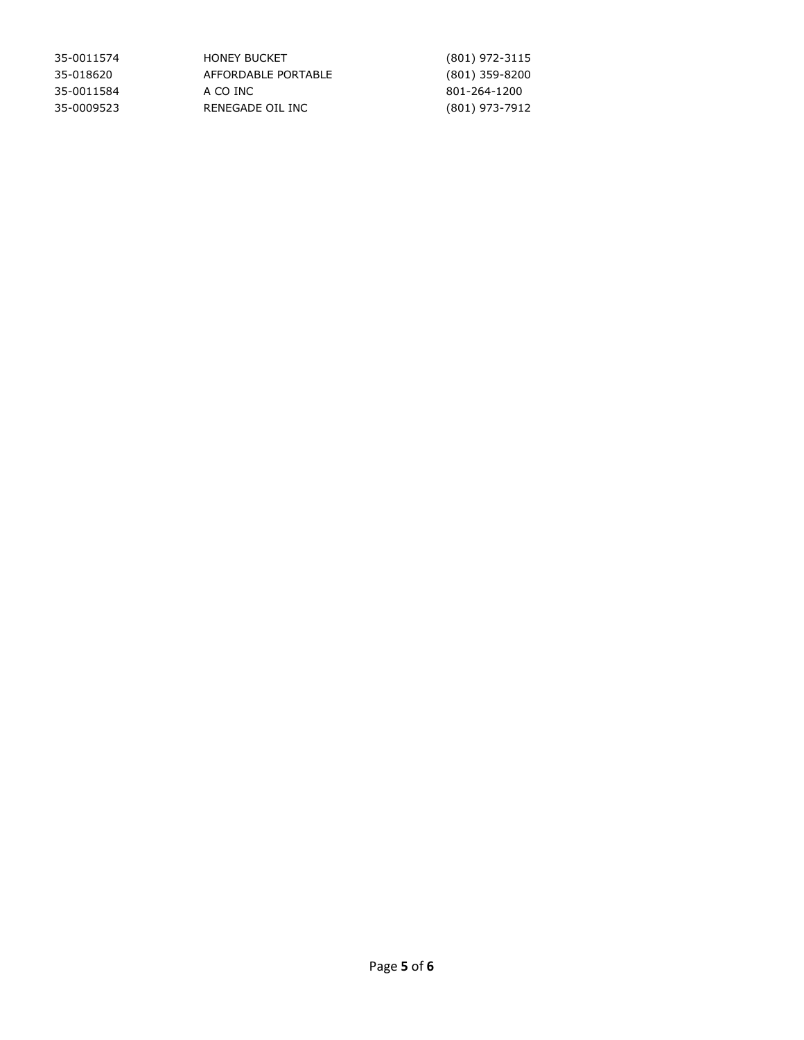| 35-0011574 | <b>HONEY BUCKET</b> | $(801)$ 972-3115 |
|------------|---------------------|------------------|
| 35-018620  | AFFORDABLE PORTABLE | $(801)$ 359-8200 |
| 35-0011584 | A CO INC            | 801-264-1200     |
| 35-0009523 | RENEGADE OIL INC    | (801) 973-7912   |